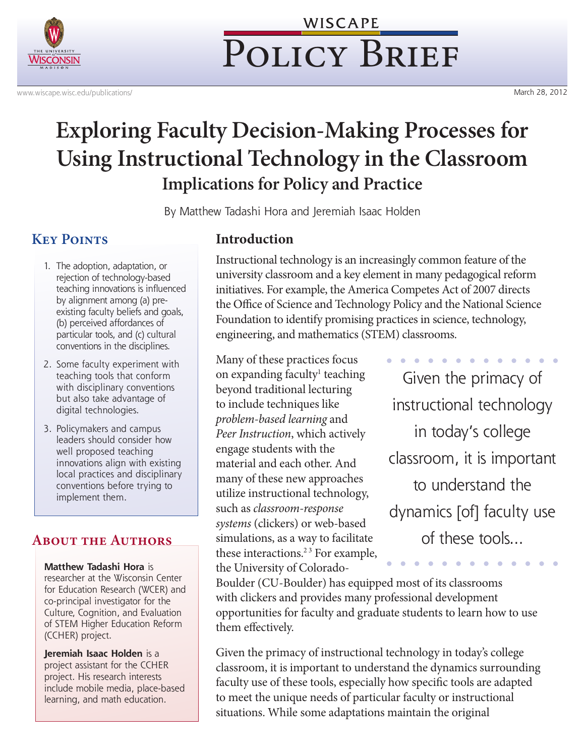

www.wiscape.wisc.edu/publications/ **March 28, 2012** 

### **Exploring Faculty Decision-Making Processes for Using Instructional Technology in the Classroom Implications for Policy and Practice**

By Matthew Tadashi Hora and Jeremiah Isaac Holden

- 1. The adoption, adaptation, or rejection of technology-based teaching innovations is influenced by alignment among (a) preexisting faculty beliefs and goals, (b) perceived affordances of particular tools, and (c) cultural conventions in the disciplines.
- 2. Some faculty experiment with teaching tools that conform with disciplinary conventions but also take advantage of digital technologies.
- 3. Policymakers and campus leaders should consider how well proposed teaching innovations align with existing local practices and disciplinary conventions before trying to implement them.

#### **About the Authors**

**Matthew Tadashi Hora** is researcher at the Wisconsin Center for Education Research (WCER) and co-principal investigator for the Culture, Cognition, and Evaluation of STEM Higher Education Reform (CCHER) project.

**Jeremiah Isaac Holden** is a project assistant for the CCHER project. His research interests include mobile media, place-based learning, and math education.

#### **Key Points Introduction**

Instructional technology is an increasingly common feature of the university classroom and a key element in many pedagogical reform initiatives. For example, the America Competes Act of 2007 directs the Office of Science and Technology Policy and the National Science Foundation to identify promising practices in science, technology, engineering, and mathematics (STEM) classrooms.

Many of these practices focus on expanding faculty<sup>1</sup> teaching beyond traditional lecturing to include techniques like *problem-based learning* and *Peer Instruction*, which actively engage students with the material and each other. And many of these new approaches utilize instructional technology, such as *classroom-response systems* (clickers) or web-based simulations, as a way to facilitate these interactions.<sup>23</sup> For example, the University of Colorado-

Given the primacy of instructional technology in today's college classroom, it is important to understand the dynamics [of] faculty use of these tools...

Boulder (CU-Boulder) has equipped most of its classrooms with clickers and provides many professional development opportunities for faculty and graduate students to learn how to use them effectively.

Given the primacy of instructional technology in today's college classroom, it is important to understand the dynamics surrounding faculty use of these tools, especially how specific tools are adapted to meet the unique needs of particular faculty or instructional situations. While some adaptations maintain the original

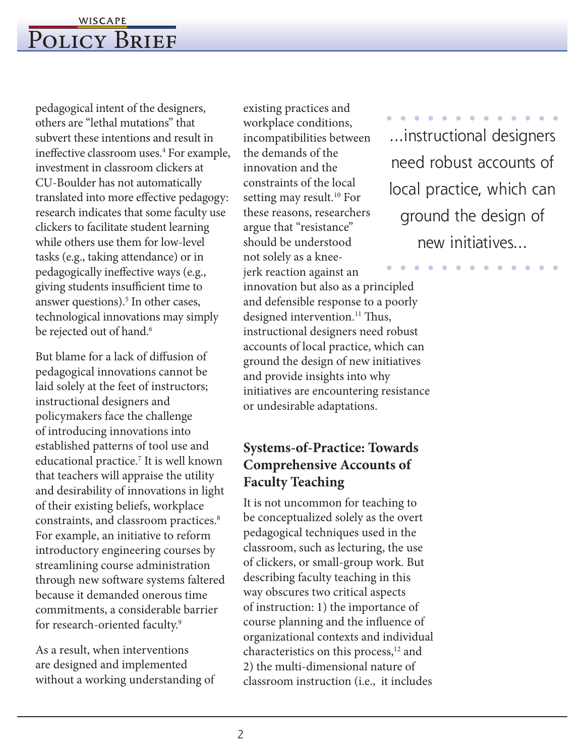pedagogical intent of the designers, others are "lethal mutations" that subvert these intentions and result in ineffective classroom uses.4 For example, investment in classroom clickers at CU-Boulder has not automatically translated into more effective pedagogy: research indicates that some faculty use clickers to facilitate student learning while others use them for low-level tasks (e.g., taking attendance) or in pedagogically ineffective ways (e.g., giving students insufficient time to answer questions).<sup>5</sup> In other cases, technological innovations may simply be rejected out of hand.<sup>6</sup>

But blame for a lack of diffusion of pedagogical innovations cannot be laid solely at the feet of instructors; instructional designers and policymakers face the challenge of introducing innovations into established patterns of tool use and educational practice.<sup>7</sup> It is well known that teachers will appraise the utility and desirability of innovations in light of their existing beliefs, workplace constraints, and classroom practices.8 For example, an initiative to reform introductory engineering courses by streamlining course administration through new software systems faltered because it demanded onerous time commitments, a considerable barrier for research-oriented faculty.<sup>9</sup>

As a result, when interventions are designed and implemented without a working understanding of

existing practices and workplace conditions, incompatibilities between the demands of the innovation and the constraints of the local setting may result.<sup>10</sup> For these reasons, researchers argue that "resistance" should be understood not solely as a kneejerk reaction against an innovation but also as a principled and defensible response to a poorly designed intervention.<sup>11</sup> Thus, instructional designers need robust accounts of local practice, which can ground the design of new initiatives and provide insights into why initiatives are encountering resistance or undesirable adaptations.

#### **Systems-of-Practice: Towards Comprehensive Accounts of Faculty Teaching**

It is not uncommon for teaching to be conceptualized solely as the overt pedagogical techniques used in the classroom, such as lecturing, the use of clickers, or small-group work. But describing faculty teaching in this way obscures two critical aspects of instruction: 1) the importance of course planning and the influence of organizational contexts and individual characteristics on this process,<sup>12</sup> and 2) the multi-dimensional nature of classroom instruction (i.e., it includes

...instructional designers need robust accounts of local practice, which can ground the design of new initiatives...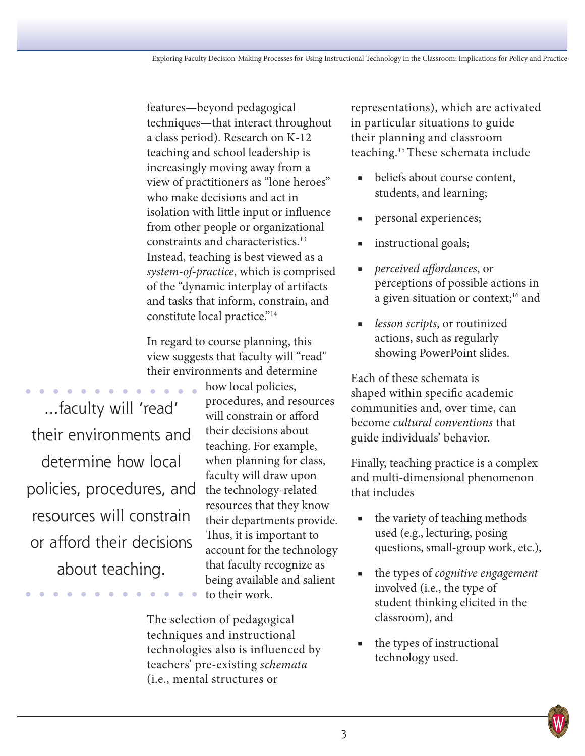features—beyond pedagogical techniques—that interact throughout a class period). Research on K-12 teaching and school leadership is increasingly moving away from a view of practitioners as "lone heroes" who make decisions and act in isolation with little input or influence from other people or organizational constraints and characteristics.13 Instead, teaching is best viewed as a *system-of-practice*, which is comprised of the "dynamic interplay of artifacts and tasks that inform, constrain, and constitute local practice."14

In regard to course planning, this view suggests that faculty will "read" their environments and determine

...faculty will 'read' their environments and determine how local policies, procedures, and resources will constrain or afford their decisions about teaching.

how local policies, procedures, and resources will constrain or afford their decisions about teaching. For example, when planning for class, faculty will draw upon the technology-related resources that they know their departments provide. Thus, it is important to account for the technology that faculty recognize as being available and salient to their work.

The selection of pedagogical techniques and instructional technologies also is influenced by teachers' pre-existing *schemata*  (i.e., mental structures or

representations), which are activated in particular situations to guide their planning and classroom teaching.15 These schemata include

- beliefs about course content, students, and learning;
- personal experiences;
- instructional goals;
- *perceived affordances*, or perceptions of possible actions in a given situation or context;<sup>16</sup> and
- lesson scripts, or routinized actions, such as regularly showing PowerPoint slides.

Each of these schemata is shaped within specific academic communities and, over time, can become *cultural conventions* that guide individuals' behavior.

Finally, teaching practice is a complex and multi-dimensional phenomenon that includes

- the variety of teaching methods used (e.g., lecturing, posing questions, small-group work, etc.),
- the types of *cognitive engagement*  involved (i.e., the type of student thinking elicited in the classroom), and
- the types of instructional technology used.

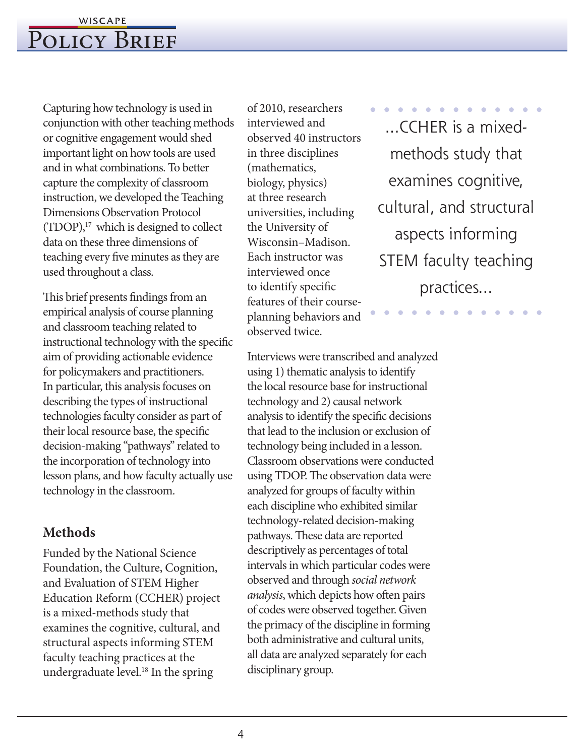Capturing how technology is used in conjunction with other teaching methods or cognitive engagement would shed important light on how tools are used and in what combinations. To better capture the complexity of classroom instruction, we developed the Teaching Dimensions Observation Protocol  $(TDOP),<sup>17</sup>$  which is designed to collect data on these three dimensions of teaching every five minutes as they are used throughout a class.

This brief presents findings from an empirical analysis of course planning and classroom teaching related to instructional technology with the specific aim of providing actionable evidence for policymakers and practitioners. In particular, this analysis focuses on describing the types of instructional technologies faculty consider as part of their local resource base, the specific decision-making "pathways" related to the incorporation of technology into lesson plans, and how faculty actually use technology in the classroom.

#### **Methods**

Funded by the National Science Foundation, the Culture, Cognition, and Evaluation of STEM Higher Education Reform (CCHER) project is a mixed-methods study that examines the cognitive, cultural, and structural aspects informing STEM faculty teaching practices at the undergraduate level.<sup>18</sup> In the spring

of 2010, researchers interviewed and observed 40 instructors in three disciplines (mathematics, biology, physics) at three research universities, including the University of Wisconsin–Madison. Each instructor was interviewed once to identify specific features of their courseplanning behaviors and observed twice.

Interviews were transcribed and analyzed using 1) thematic analysis to identify the local resource base for instructional technology and 2) causal network analysis to identify the specific decisions that lead to the inclusion or exclusion of technology being included in a lesson. Classroom observations were conducted using TDOP. The observation data were analyzed for groups of faculty within each discipline who exhibited similar technology-related decision-making pathways. These data are reported descriptively as percentages of total intervals in which particular codes were observed and through *social network analysis*, which depicts how often pairs of codes were observed together. Given the primacy of the discipline in forming both administrative and cultural units, all data are analyzed separately for each disciplinary group.

...CCHER is a mixedmethods study that examines cognitive, cultural, and structural aspects informing STEM faculty teaching practices...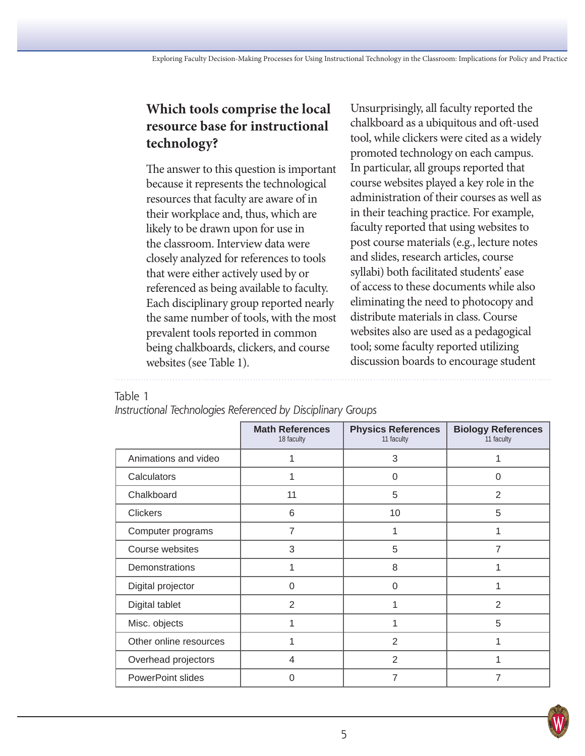#### **Which tools comprise the local resource base for instructional technology?**

The answer to this question is important because it represents the technological resources that faculty are aware of in their workplace and, thus, which are likely to be drawn upon for use in the classroom. Interview data were closely analyzed for references to tools that were either actively used by or referenced as being available to faculty. Each disciplinary group reported nearly the same number of tools, with the most prevalent tools reported in common being chalkboards, clickers, and course websites (see Table 1).

Unsurprisingly, all faculty reported the chalkboard as a ubiquitous and oft-used tool, while clickers were cited as a widely promoted technology on each campus. In particular, all groups reported that course websites played a key role in the administration of their courses as well as in their teaching practice. For example, faculty reported that using websites to post course materials (e.g., lecture notes and slides, research articles, course syllabi) both facilitated students' ease of access to these documents while also eliminating the need to photocopy and distribute materials in class. Course websites also are used as a pedagogical tool; some faculty reported utilizing discussion boards to encourage student

#### Table 1

| Instructional Technologies Referenced by Disciplinary Groups |  |  |
|--------------------------------------------------------------|--|--|
|                                                              |  |  |

|                          | <b>Math References</b><br>18 faculty | <b>Physics References</b><br>11 faculty | <b>Biology References</b><br>11 faculty |
|--------------------------|--------------------------------------|-----------------------------------------|-----------------------------------------|
| Animations and video     |                                      | 3                                       |                                         |
| Calculators              |                                      | 0                                       | 0                                       |
| Chalkboard               | 11                                   | 5                                       | $\overline{2}$                          |
| <b>Clickers</b>          | 6                                    | 10                                      | 5                                       |
| Computer programs        | $\overline{7}$                       |                                         |                                         |
| Course websites          | 3                                    | 5                                       | 7                                       |
| Demonstrations           |                                      | 8                                       |                                         |
| Digital projector        | $\Omega$                             | $\Omega$                                |                                         |
| Digital tablet           | $\overline{2}$                       |                                         | $\overline{2}$                          |
| Misc. objects            |                                      |                                         | 5                                       |
| Other online resources   |                                      | 2                                       |                                         |
| Overhead projectors      | $\overline{4}$                       | $\overline{2}$                          |                                         |
| <b>PowerPoint slides</b> | O                                    | 7                                       | 7                                       |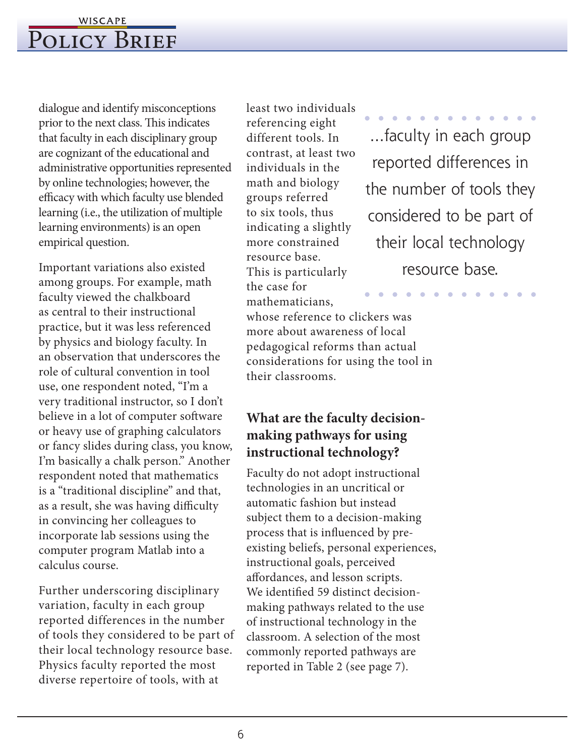dialogue and identify misconceptions prior to the next class. This indicates that faculty in each disciplinary group are cognizant of the educational and administrative opportunities represented by online technologies; however, the efficacy with which faculty use blended learning (i.e., the utilization of multiple learning environments) is an open empirical question.

Important variations also existed among groups. For example, math faculty viewed the chalkboard as central to their instructional practice, but it was less referenced by physics and biology faculty. In an observation that underscores the role of cultural convention in tool use, one respondent noted, "I'm a very traditional instructor, so I don't believe in a lot of computer software or heavy use of graphing calculators or fancy slides during class, you know, I'm basically a chalk person." Another respondent noted that mathematics is a "traditional discipline" and that, as a result, she was having difficulty in convincing her colleagues to incorporate lab sessions using the computer program Matlab into a calculus course.

Further underscoring disciplinary variation, faculty in each group reported differences in the number of tools they considered to be part of their local technology resource base. Physics faculty reported the most diverse repertoire of tools, with at

least two individuals referencing eight different tools. In contrast, at least two individuals in the math and biology groups referred to six tools, thus indicating a slightly more constrained resource base. This is particularly the case for mathematicians, whose reference to clickers was

more about awareness of local pedagogical reforms than actual considerations for using the tool in their classrooms.

#### **What are the faculty decisionmaking pathways for using instructional technology?**

Faculty do not adopt instructional technologies in an uncritical or automatic fashion but instead subject them to a decision-making process that is influenced by preexisting beliefs, personal experiences, instructional goals, perceived affordances, and lesson scripts. We identified 59 distinct decisionmaking pathways related to the use of instructional technology in the classroom. A selection of the most commonly reported pathways are reported in Table 2 (see page 7).

...faculty in each group reported differences in the number of tools they considered to be part of their local technology resource base.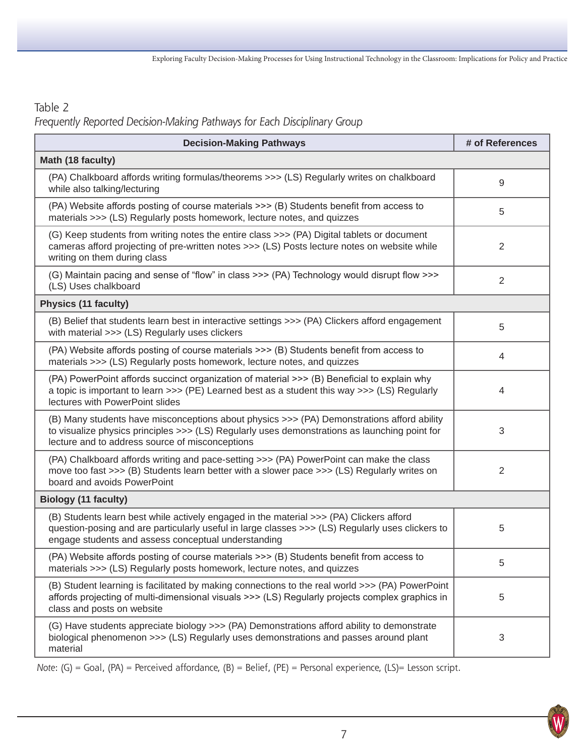#### Table 2

Frequently Reported Decision-Making Pathways for Each Disciplinary Group

| <b>Decision-Making Pathways</b>                                                                                                                                                                                                                    | # of References |  |  |
|----------------------------------------------------------------------------------------------------------------------------------------------------------------------------------------------------------------------------------------------------|-----------------|--|--|
| Math (18 faculty)                                                                                                                                                                                                                                  |                 |  |  |
| (PA) Chalkboard affords writing formulas/theorems >>> (LS) Regularly writes on chalkboard<br>while also talking/lecturing                                                                                                                          | 9               |  |  |
| (PA) Website affords posting of course materials >>> (B) Students benefit from access to<br>materials >>> (LS) Regularly posts homework, lecture notes, and quizzes                                                                                | 5               |  |  |
| (G) Keep students from writing notes the entire class >>> (PA) Digital tablets or document<br>cameras afford projecting of pre-written notes >>> (LS) Posts lecture notes on website while<br>writing on them during class                         | 2               |  |  |
| (G) Maintain pacing and sense of "flow" in class >>> (PA) Technology would disrupt flow >>><br>(LS) Uses chalkboard                                                                                                                                | 2               |  |  |
| <b>Physics (11 faculty)</b>                                                                                                                                                                                                                        |                 |  |  |
| (B) Belief that students learn best in interactive settings >>> (PA) Clickers afford engagement<br>with material >>> (LS) Regularly uses clickers                                                                                                  | 5               |  |  |
| (PA) Website affords posting of course materials >>> (B) Students benefit from access to<br>materials >>> (LS) Regularly posts homework, lecture notes, and quizzes                                                                                | 4               |  |  |
| (PA) PowerPoint affords succinct organization of material >>> (B) Beneficial to explain why<br>a topic is important to learn >>> (PE) Learned best as a student this way >>> (LS) Regularly<br>lectures with PowerPoint slides                     | 4               |  |  |
| (B) Many students have misconceptions about physics >>> (PA) Demonstrations afford ability<br>to visualize physics principles >>> (LS) Regularly uses demonstrations as launching point for<br>lecture and to address source of misconceptions     | 3               |  |  |
| (PA) Chalkboard affords writing and pace-setting >>> (PA) PowerPoint can make the class<br>move too fast >>> (B) Students learn better with a slower pace >>> (LS) Regularly writes on<br>board and avoids PowerPoint                              | 2               |  |  |
| <b>Biology (11 faculty)</b>                                                                                                                                                                                                                        |                 |  |  |
| (B) Students learn best while actively engaged in the material >>> (PA) Clickers afford<br>question-posing and are particularly useful in large classes >>> (LS) Regularly uses clickers to<br>engage students and assess conceptual understanding | 5               |  |  |
| (PA) Website affords posting of course materials >>> (B) Students benefit from access to<br>materials >>> (LS) Regularly posts homework, lecture notes, and quizzes                                                                                | 5               |  |  |
| (B) Student learning is facilitated by making connections to the real world >>> (PA) PowerPoint<br>affords projecting of multi-dimensional visuals >>> (LS) Regularly projects complex graphics in<br>class and posts on website                   | 5               |  |  |
| (G) Have students appreciate biology >>> (PA) Demonstrations afford ability to demonstrate<br>biological phenomenon >>> (LS) Regularly uses demonstrations and passes around plant<br>material                                                     | 3               |  |  |

Note: (G) = Goal, (PA) = Perceived affordance, (B) = Belief, (PE) = Personal experience, (LS)= Lesson script.

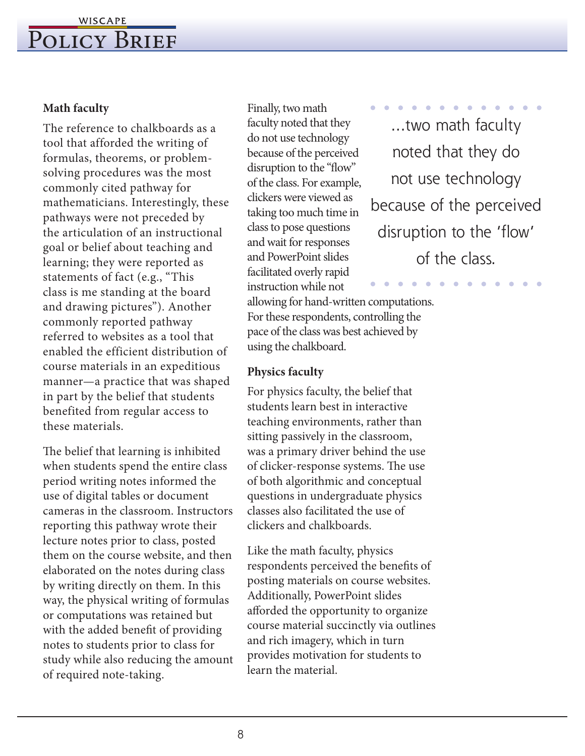### WISCAPE POLICY BRIEF

#### **Math faculty**

The reference to chalkboards as a tool that afforded the writing of formulas, theorems, or problemsolving procedures was the most commonly cited pathway for mathematicians. Interestingly, these pathways were not preceded by the articulation of an instructional goal or belief about teaching and learning; they were reported as statements of fact (e.g., "This class is me standing at the board and drawing pictures"). Another commonly reported pathway referred to websites as a tool that enabled the efficient distribution of course materials in an expeditious manner—a practice that was shaped in part by the belief that students benefited from regular access to these materials.

The belief that learning is inhibited when students spend the entire class period writing notes informed the use of digital tables or document cameras in the classroom. Instructors reporting this pathway wrote their lecture notes prior to class, posted them on the course website, and then elaborated on the notes during class by writing directly on them. In this way, the physical writing of formulas or computations was retained but with the added benefit of providing notes to students prior to class for study while also reducing the amount of required note-taking.

Finally, two math faculty noted that they do not use technology because of the perceived disruption to the "flow" of the class. For example, clickers were viewed as taking too much time in class to pose questions and wait for responses and PowerPoint slides facilitated overly rapid instruction while not allowing for hand-written computations. For these respondents, controlling the pace of the class was best achieved by

#### **Physics faculty**

using the chalkboard.

For physics faculty, the belief that students learn best in interactive teaching environments, rather than sitting passively in the classroom, was a primary driver behind the use of clicker-response systems. The use of both algorithmic and conceptual questions in undergraduate physics classes also facilitated the use of clickers and chalkboards.

Like the math faculty, physics respondents perceived the benefits of posting materials on course websites. Additionally, PowerPoint slides afforded the opportunity to organize course material succinctly via outlines and rich imagery, which in turn provides motivation for students to learn the material.

...two math faculty noted that they do not use technology because of the perceived disruption to the 'flow' of the class.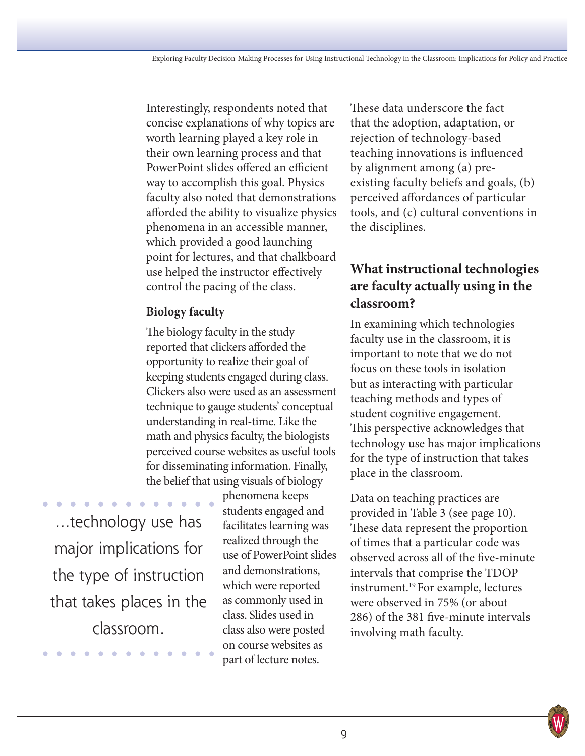Interestingly, respondents noted that concise explanations of why topics are worth learning played a key role in their own learning process and that PowerPoint slides offered an efficient way to accomplish this goal. Physics faculty also noted that demonstrations afforded the ability to visualize physics phenomena in an accessible manner, which provided a good launching point for lectures, and that chalkboard use helped the instructor effectively control the pacing of the class.

#### **Biology faculty**

The biology faculty in the study reported that clickers afforded the opportunity to realize their goal of keeping students engaged during class. Clickers also were used as an assessment technique to gauge students' conceptual understanding in real-time. Like the math and physics faculty, the biologists perceived course websites as useful tools for disseminating information. Finally, the belief that using visuals of biology

 $\bullet$ ...technology use has major implications for the type of instruction that takes places in the classroom.

phenomena keeps students engaged and facilitates learning was realized through the use of PowerPoint slides and demonstrations, which were reported as commonly used in class. Slides used in class also were posted on course websites as part of lecture notes.

These data underscore the fact that the adoption, adaptation, or rejection of technology-based teaching innovations is influenced by alignment among (a) preexisting faculty beliefs and goals, (b) perceived affordances of particular tools, and (c) cultural conventions in the disciplines.

#### **What instructional technologies are faculty actually using in the classroom?**

In examining which technologies faculty use in the classroom, it is important to note that we do not focus on these tools in isolation but as interacting with particular teaching methods and types of student cognitive engagement. This perspective acknowledges that technology use has major implications for the type of instruction that takes place in the classroom.

Data on teaching practices are provided in Table 3 (see page 10). These data represent the proportion of times that a particular code was observed across all of the five-minute intervals that comprise the TDOP instrument.19 For example, lectures were observed in 75% (or about 286) of the 381 five-minute intervals involving math faculty.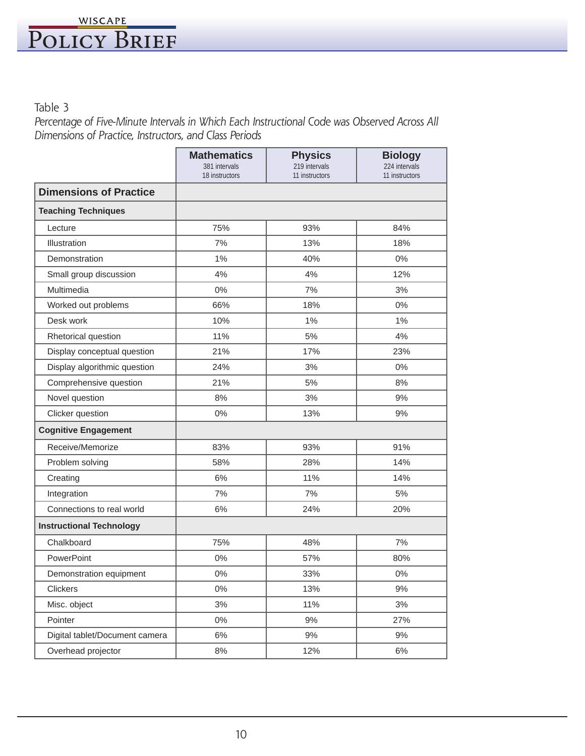#### Table 3

Percentage of Five-Minute Intervals in Which Each Instructional Code was Observed Across All Dimensions of Practice, Instructors, and Class Periods

|                                 | <b>Mathematics</b><br>381 intervals<br>18 instructors | <b>Physics</b><br>219 intervals<br>11 instructors | <b>Biology</b><br>224 intervals<br>11 instructors |
|---------------------------------|-------------------------------------------------------|---------------------------------------------------|---------------------------------------------------|
| <b>Dimensions of Practice</b>   |                                                       |                                                   |                                                   |
| <b>Teaching Techniques</b>      |                                                       |                                                   |                                                   |
| Lecture                         | 75%                                                   | 93%                                               | 84%                                               |
| Illustration                    | 7%                                                    | 13%                                               | 18%                                               |
| Demonstration                   | 1%                                                    | 40%                                               | $0\%$                                             |
| Small group discussion          | 4%                                                    | 4%                                                | 12%                                               |
| Multimedia                      | 0%                                                    | 7%                                                | 3%                                                |
| Worked out problems             | 66%                                                   | 18%                                               | $0\%$                                             |
| Desk work                       | 10%                                                   | $1\%$                                             | 1%                                                |
| Rhetorical question             | 11%                                                   | 5%                                                | 4%                                                |
| Display conceptual question     | 21%                                                   | 17%                                               | 23%                                               |
| Display algorithmic question    | 24%                                                   | 3%                                                | $0\%$                                             |
| Comprehensive question          | 21%                                                   | 5%                                                | 8%                                                |
| Novel question                  | 8%                                                    | 3%                                                | 9%                                                |
| Clicker question                | $0\%$                                                 | 13%                                               | 9%                                                |
| <b>Cognitive Engagement</b>     |                                                       |                                                   |                                                   |
| Receive/Memorize                | 83%                                                   | 93%                                               | 91%                                               |
| Problem solving                 | 58%                                                   | 28%                                               | 14%                                               |
| Creating                        | 6%                                                    | 11%                                               | 14%                                               |
| Integration                     | 7%                                                    | 7%                                                | 5%                                                |
| Connections to real world       | 6%                                                    | 24%                                               | 20%                                               |
| <b>Instructional Technology</b> |                                                       |                                                   |                                                   |
| Chalkboard                      | 75%                                                   | 48%                                               | 7%                                                |
| PowerPoint                      | 0%                                                    | 57%                                               | 80%                                               |
| Demonstration equipment         | $0\%$                                                 | 33%                                               | $0\%$                                             |
| <b>Clickers</b>                 | $0\%$                                                 | 13%                                               | 9%                                                |
| Misc. object                    | 3%                                                    | 11%                                               | 3%                                                |
| Pointer                         | $0\%$                                                 | 9%                                                | 27%                                               |
| Digital tablet/Document camera  | 6%                                                    | 9%                                                | 9%                                                |
| Overhead projector              | 8%                                                    | 12%                                               | $6\%$                                             |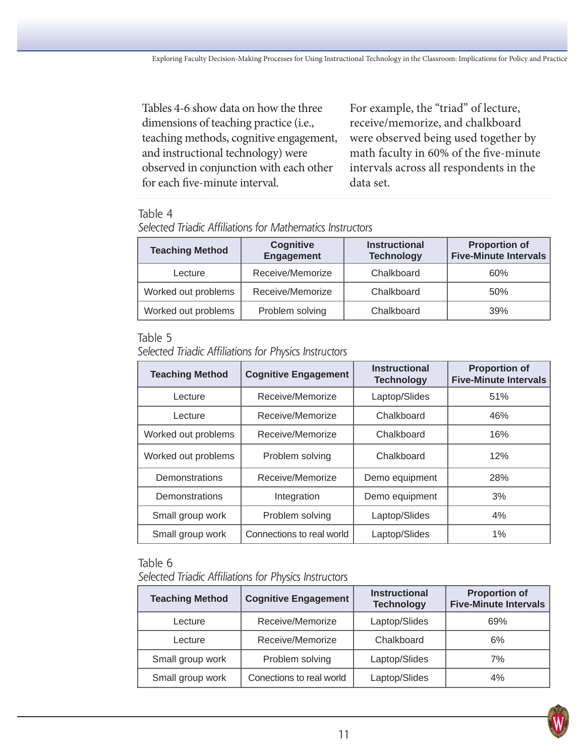Tables 4-6 show data on how the three dimensions of teaching practice (i.e., teaching methods, cognitive engagement, and instructional technology) were observed in conjunction with each other for each five-minute interval.

For example, the "triad" of lecture, receive/memorize, and chalkboard were observed being used together by math faculty in 60% of the five-minute intervals across all respondents in the data set.

#### Table 4

Selected Triadic Affiliations for Mathematics Instructors

| <b>Teaching Method</b> | <b>Cognitive</b><br><b>Engagement</b> | <b>Instructional</b><br><b>Technology</b> | <b>Proportion of</b><br><b>Five-Minute Intervals</b> |
|------------------------|---------------------------------------|-------------------------------------------|------------------------------------------------------|
| Lecture                | Receive/Memorize                      | Chalkboard                                | 60%                                                  |
| Worked out problems    | Receive/Memorize                      | Chalkboard                                | 50%                                                  |
| Worked out problems    | Problem solving                       | Chalkboard                                | 39%                                                  |

#### Table 5

Selected Triadic Affiliations for Physics Instructors

| <b>Teaching Method</b> | <b>Cognitive Engagement</b> | <b>Instructional</b><br><b>Technology</b> | <b>Proportion of</b><br><b>Five-Minute Intervals</b> |
|------------------------|-----------------------------|-------------------------------------------|------------------------------------------------------|
| Lecture                | Receive/Memorize            | Laptop/Slides                             | 51%                                                  |
| Lecture                | Receive/Memorize            | Chalkboard                                | 46%                                                  |
| Worked out problems    | Receive/Memorize            | Chalkboard                                | 16%                                                  |
| Worked out problems    | Problem solving             | Chalkboard                                | 12%                                                  |
| Demonstrations         | Receive/Memorize            | Demo equipment                            | <b>28%</b>                                           |
| Demonstrations         | Integration                 | Demo equipment                            | 3%                                                   |
| Small group work       | Problem solving             | Laptop/Slides                             | 4%                                                   |
| Small group work       | Connections to real world   | Laptop/Slides                             | $1\%$                                                |

#### Table 6

Selected Triadic Affiliations for Physics Instructors

| <b>Teaching Method</b> | <b>Cognitive Engagement</b> | <b>Instructional</b><br><b>Technology</b> | <b>Proportion of</b><br><b>Five-Minute Intervals</b> |
|------------------------|-----------------------------|-------------------------------------------|------------------------------------------------------|
| Lecture                | Receive/Memorize            | Laptop/Slides                             | 69%                                                  |
| Lecture                | Receive/Memorize            | Chalkboard                                | 6%                                                   |
| Small group work       | Problem solving             | Laptop/Slides                             | 7%                                                   |
| Small group work       | Conections to real world    | Laptop/Slides                             | 4%                                                   |

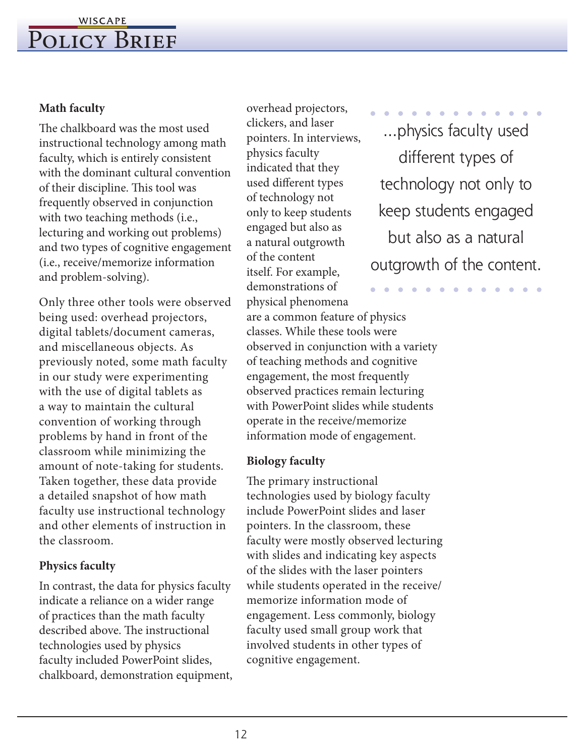### WISCAPE POLICY BRIEF

#### **Math faculty**

The chalkboard was the most used instructional technology among math faculty, which is entirely consistent with the dominant cultural convention of their discipline. This tool was frequently observed in conjunction with two teaching methods (i.e., lecturing and working out problems) and two types of cognitive engagement (i.e., receive/memorize information and problem-solving).

Only three other tools were observed being used: overhead projectors, digital tablets/document cameras, and miscellaneous objects. As previously noted, some math faculty in our study were experimenting with the use of digital tablets as a way to maintain the cultural convention of working through problems by hand in front of the classroom while minimizing the amount of note-taking for students. Taken together, these data provide a detailed snapshot of how math faculty use instructional technology and other elements of instruction in the classroom.

#### **Physics faculty**

In contrast, the data for physics faculty indicate a reliance on a wider range of practices than the math faculty described above. The instructional technologies used by physics faculty included PowerPoint slides, chalkboard, demonstration equipment,

overhead projectors, clickers, and laser pointers. In interviews, physics faculty indicated that they used different types of technology not only to keep students engaged but also as a natural outgrowth of the content itself. For example, demonstrations of physical phenomena are a common feature of physics classes. While these tools were observed in conjunction with a variety of teaching methods and cognitive engagement, the most frequently observed practices remain lecturing with PowerPoint slides while students operate in the receive/memorize information mode of engagement.

#### **Biology faculty**

The primary instructional technologies used by biology faculty include PowerPoint slides and laser pointers. In the classroom, these faculty were mostly observed lecturing with slides and indicating key aspects of the slides with the laser pointers while students operated in the receive/ memorize information mode of engagement. Less commonly, biology faculty used small group work that involved students in other types of cognitive engagement.

...physics faculty used different types of

technology not only to keep students engaged but also as a natural outgrowth of the content.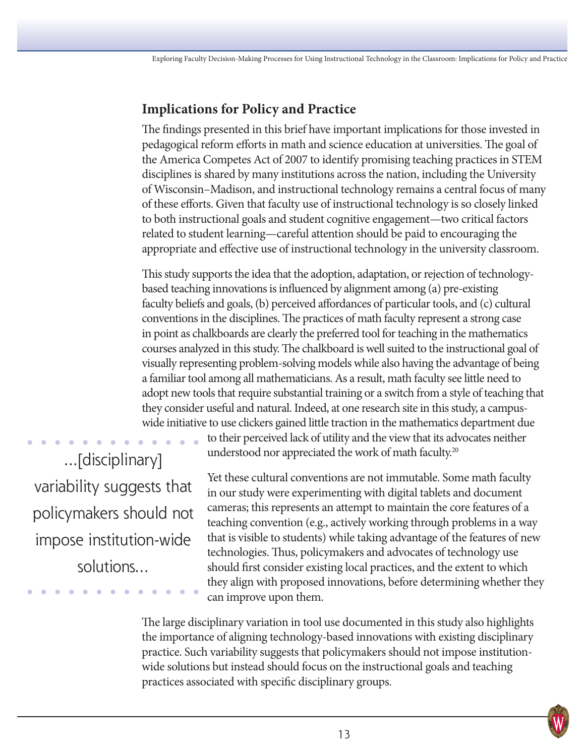#### **Implications for Policy and Practice**

The findings presented in this brief have important implications for those invested in pedagogical reform efforts in math and science education at universities. The goal of the America Competes Act of 2007 to identify promising teaching practices in STEM disciplines is shared by many institutions across the nation, including the University of Wisconsin–Madison, and instructional technology remains a central focus of many of these efforts. Given that faculty use of instructional technology is so closely linked to both instructional goals and student cognitive engagement—two critical factors related to student learning—careful attention should be paid to encouraging the appropriate and effective use of instructional technology in the university classroom.

This study supports the idea that the adoption, adaptation, or rejection of technologybased teaching innovations is influenced by alignment among (a) pre-existing faculty beliefs and goals, (b) perceived affordances of particular tools, and (c) cultural conventions in the disciplines. The practices of math faculty represent a strong case in point as chalkboards are clearly the preferred tool for teaching in the mathematics courses analyzed in this study. The chalkboard is well suited to the instructional goal of visually representing problem-solving models while also having the advantage of being a familiar tool among all mathematicians. As a result, math faculty see little need to adopt new tools that require substantial training or a switch from a style of teaching that they consider useful and natural. Indeed, at one research site in this study, a campuswide initiative to use clickers gained little traction in the mathematics department due

...[disciplinary] variability suggests that policymakers should not impose institution-wide solutions...

to their perceived lack of utility and the view that its advocates neither understood nor appreciated the work of math faculty.<sup>20</sup>

Yet these cultural conventions are not immutable. Some math faculty in our study were experimenting with digital tablets and document cameras; this represents an attempt to maintain the core features of a teaching convention (e.g., actively working through problems in a way that is visible to students) while taking advantage of the features of new technologies. Thus, policymakers and advocates of technology use should first consider existing local practices, and the extent to which they align with proposed innovations, before determining whether they can improve upon them.

The large disciplinary variation in tool use documented in this study also highlights the importance of aligning technology-based innovations with existing disciplinary practice. Such variability suggests that policymakers should not impose institutionwide solutions but instead should focus on the instructional goals and teaching practices associated with specific disciplinary groups.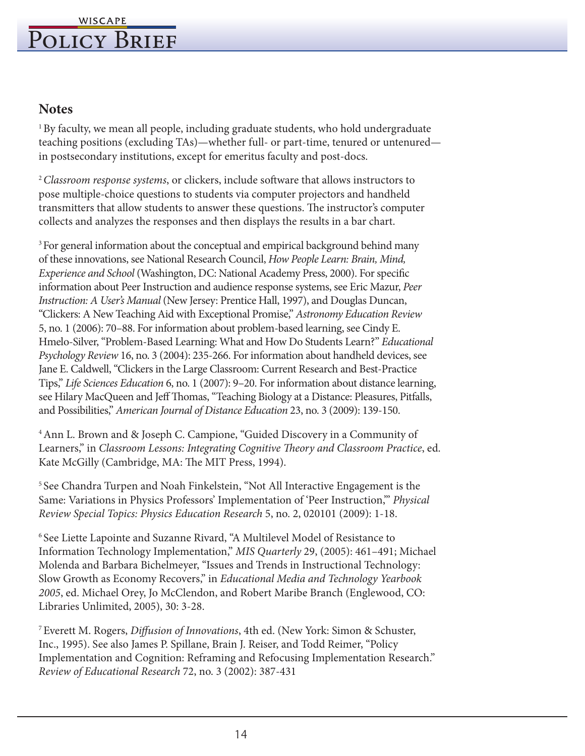### WISCAPE Policy Brief

#### **Notes**

<sup>1</sup> By faculty, we mean all people, including graduate students, who hold undergraduate teaching positions (excluding TAs)—whether full- or part-time, tenured or untenured in postsecondary institutions, except for emeritus faculty and post-docs.

<sup>2</sup>*Classroom response systems*, or clickers, include software that allows instructors to pose multiple-choice questions to students via computer projectors and handheld transmitters that allow students to answer these questions. The instructor's computer collects and analyzes the responses and then displays the results in a bar chart.

<sup>3</sup> For general information about the conceptual and empirical background behind many of these innovations, see National Research Council, *How People Learn: Brain, Mind, Experience and School* (Washington, DC: National Academy Press, 2000). For specific information about Peer Instruction and audience response systems, see Eric Mazur, *Peer Instruction: A User's Manual* (New Jersey: Prentice Hall, 1997), and Douglas Duncan, "Clickers: A New Teaching Aid with Exceptional Promise," *Astronomy Education Review*  5, no. 1 (2006): 70–88. For information about problem-based learning, see Cindy E. Hmelo-Silver, "Problem-Based Learning: What and How Do Students Learn?" *Educational Psychology Review* 16, no. 3 (2004): 235-266. For information about handheld devices, see Jane E. Caldwell, "Clickers in the Large Classroom: Current Research and Best-Practice Tips," *Life Sciences Education* 6, no. 1 (2007): 9–20. For information about distance learning, see Hilary MacQueen and Jeff Thomas, "Teaching Biology at a Distance: Pleasures, Pitfalls, and Possibilities," *American Journal of Distance Education* 23, no. 3 (2009): 139-150.

4 Ann L. Brown and & Joseph C. Campione, "Guided Discovery in a Community of Learners," in *Classroom Lessons: Integrating Cognitive Theory and Classroom Practice*, ed. Kate McGilly (Cambridge, MA: The MIT Press, 1994).

5 See Chandra Turpen and Noah Finkelstein, "Not All Interactive Engagement is the Same: Variations in Physics Professors' Implementation of 'Peer Instruction,'" *Physical Review Special Topics: Physics Education Research* 5, no. 2, 020101 (2009): 1-18.

6 See Liette Lapointe and Suzanne Rivard, "A Multilevel Model of Resistance to Information Technology Implementation," *MIS Quarterly* 29, (2005): 461–491; Michael Molenda and Barbara Bichelmeyer, "Issues and Trends in Instructional Technology: Slow Growth as Economy Recovers," in *Educational Media and Technology Yearbook 2005*, ed. Michael Orey, Jo McClendon, and Robert Maribe Branch (Englewood, CO: Libraries Unlimited, 2005), 30: 3-28.

7 Everett M. Rogers, *Diffusion of Innovations*, 4th ed. (New York: Simon & Schuster, Inc., 1995). See also James P. Spillane, Brain J. Reiser, and Todd Reimer, "Policy Implementation and Cognition: Reframing and Refocusing Implementation Research." *Review of Educational Research* 72, no. 3 (2002): 387-431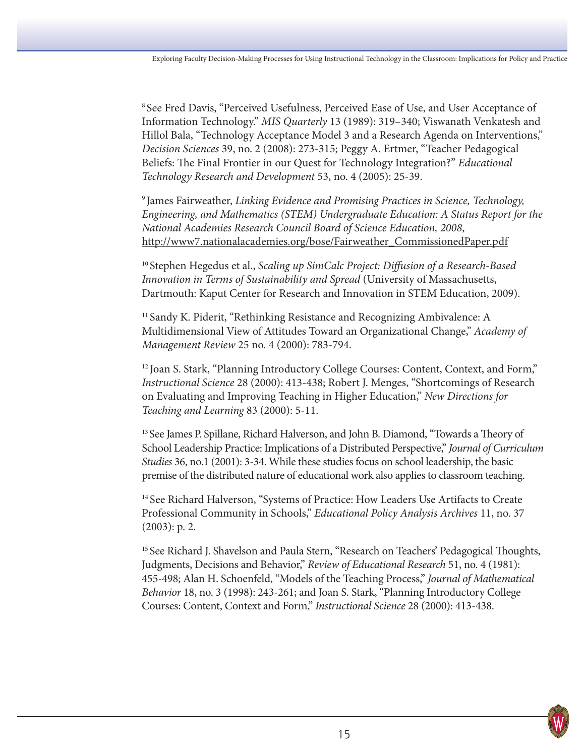8 See Fred Davis, "Perceived Usefulness, Perceived Ease of Use, and User Acceptance of Information Technology." *MIS Quarterly* 13 (1989): 319–340; Viswanath Venkatesh and Hillol Bala, "Technology Acceptance Model 3 and a Research Agenda on Interventions," *Decision Sciences* 39, no. 2 (2008): 273-315; Peggy A. Ertmer, "Teacher Pedagogical Beliefs: The Final Frontier in our Quest for Technology Integration?" *Educational Technology Research and Development* 53, no. 4 (2005): 25-39.

9 James Fairweather, *Linking Evidence and Promising Practices in Science, Technology, Engineering, and Mathematics (STEM) Undergraduate Education: A Status Report for the National Academies Research Council Board of Science Education, 2008*, http://www7.nationalacademies.org/bose/Fairweather\_CommissionedPaper.pdf

10 Stephen Hegedus et al., *Scaling up SimCalc Project: Diffusion of a Research-Based Innovation in Terms of Sustainability and Spread* (University of Massachusetts, Dartmouth: Kaput Center for Research and Innovation in STEM Education, 2009).

<sup>11</sup> Sandy K. Piderit, "Rethinking Resistance and Recognizing Ambivalence: A Multidimensional View of Attitudes Toward an Organizational Change," *Academy of Management Review* 25 no. 4 (2000): 783-794.

 $12$  Joan S. Stark, "Planning Introductory College Courses: Content, Context, and Form," *Instructional Science* 28 (2000): 413-438; Robert J. Menges, "Shortcomings of Research on Evaluating and Improving Teaching in Higher Education," *New Directions for Teaching and Learning* 83 (2000): 5-11.

13 See James P. Spillane, Richard Halverson, and John B. Diamond, "Towards a Theory of School Leadership Practice: Implications of a Distributed Perspective," *Journal of Curriculum Studies* 36, no.1 (2001): 3-34. While these studies focus on school leadership, the basic premise of the distributed nature of educational work also applies to classroom teaching.

14 See Richard Halverson, "Systems of Practice: How Leaders Use Artifacts to Create Professional Community in Schools," *Educational Policy Analysis Archives* 11, no. 37 (2003): p. 2.

<sup>15</sup> See Richard J. Shavelson and Paula Stern, "Research on Teachers' Pedagogical Thoughts, Judgments, Decisions and Behavior," *Review of Educational Research* 51, no. 4 (1981): 455-498; Alan H. Schoenfeld, "Models of the Teaching Process," *Journal of Mathematical Behavior* 18, no. 3 (1998): 243-261; and Joan S. Stark, "Planning Introductory College Courses: Content, Context and Form," *Instructional Science* 28 (2000): 413-438.

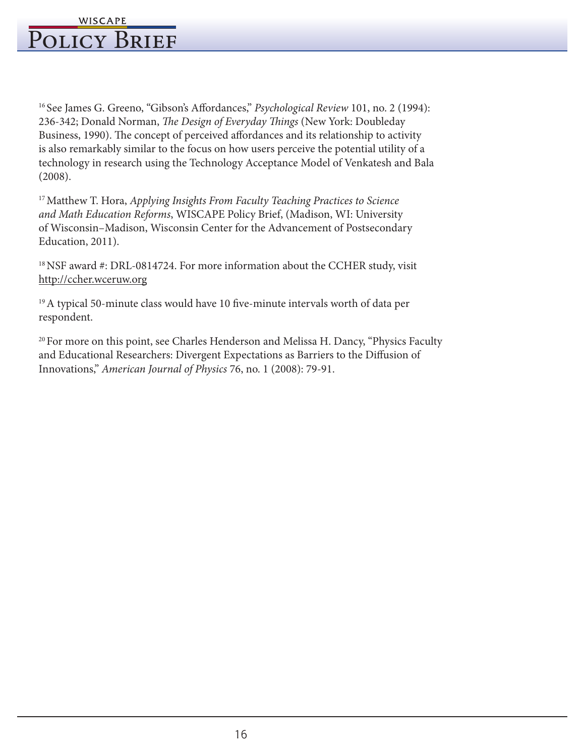<sup>16</sup> See James G. Greeno, "Gibson's Affordances," Psychological Review 101, no. 2 (1994): 236-342; Donald Norman, *The Design of Everyday Things* (New York: Doubleday Business, 1990). The concept of perceived affordances and its relationship to activity is also remarkably similar to the focus on how users perceive the potential utility of a technology in research using the Technology Acceptance Model of Venkatesh and Bala (2008).

17 Matthew T. Hora, *Applying Insights From Faculty Teaching Practices to Science and Math Education Reforms*, WISCAPE Policy Brief, (Madison, WI: University of Wisconsin–Madison, Wisconsin Center for the Advancement of Postsecondary Education, 2011).

<sup>18</sup> NSF award #: DRL-0814724. For more information about the CCHER study, visit http://ccher.wceruw.org

<sup>19</sup> A typical 50-minute class would have 10 five-minute intervals worth of data per respondent.

<sup>20</sup> For more on this point, see Charles Henderson and Melissa H. Dancy, "Physics Faculty and Educational Researchers: Divergent Expectations as Barriers to the Diffusion of Innovations," *American Journal of Physics* 76, no. 1 (2008): 79-91.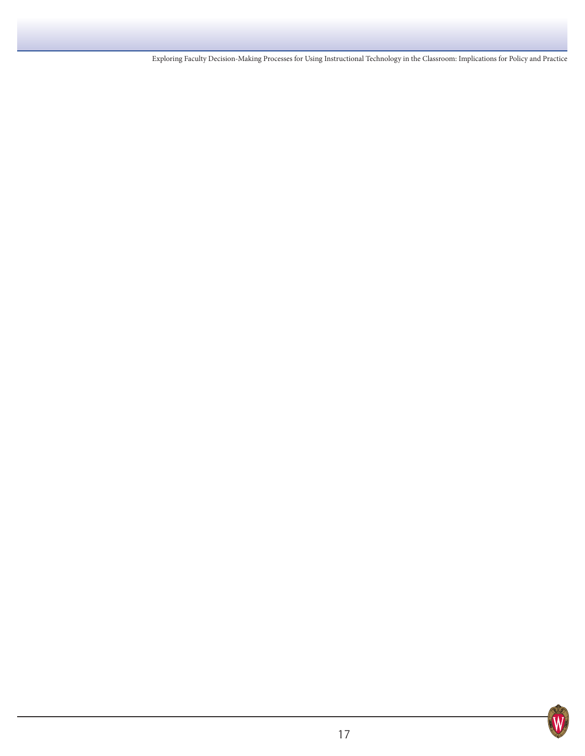Exploring Faculty Decision-Making Processes for Using Instructional Technology in the Classroom: Implications for Policy and Practice